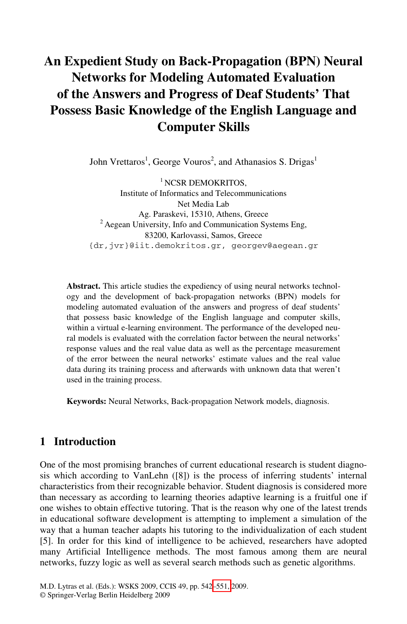# **An Expedient Study on Back-Propagation (BPN) Neural Networks for Modeling Automated Evaluation of the Answers and Progress of Deaf Students' That Possess Basic Knowledge of the English Language and Computer Skills**

John Vrettaros<sup>1</sup>, George Vouros<sup>2</sup>, and Athanasios S. Drigas<sup>1</sup>

<sup>1</sup> NCSR DEMOKRITOS, Institute of Informatics and Telecommunications Net Media Lab Ag. Paraskevi, 15310, Athens, Greece<sup>2</sup> Aegean University, Info and Communication Systems Eng, 83200, Karlovassi, Samos, Greece {dr,jvr}@iit.demokritos.gr, georgev@aegean.gr

**Abstract.** This article studies the expediency of using neural networks technology and the development of back-propagation networks (BPN) models for modeling automated evaluation of the answers and progress of deaf students' that possess basic knowledge of the English language and computer skills, within a virtual e-learning environment. The performance of the developed neural models is evaluated with the correlation factor between the neural networks' response values and the real value data as well as the percentage measurement of the error between the neural networks' estimate values and the real value data during its training process and afterwards with unknown data that weren't used in the training process.

**Keywords:** Neural Networks, Back-propagation Network models, diagnosis.

## **1 Introduction**

One of the most promising branches of current educational research is student diagnosis which according to VanLehn ([8]) is the process of inferring students' internal characteristics from their recognizable behavior. Student diagnosis is considered more than necessary as accor[ding t](#page-9-0)o learning theories adaptive learning is a fruitful one if one wishes to obtain effective tutoring. That is the reason why one of the latest trends in educational software development is attempting to implement a simulation of the way that a human teacher adapts his tutoring to the individualization of each student [5]. In order for this kind of intelligence to be achieved, researchers have adopted many Artificial Intelligence methods. The most famous among them are neural networks, fuzzy logic as well as several search methods such as genetic algorithms.

M.D. Lytras et al. (Eds.): WSKS 2009, CCIS 49, pp. 542–551, 2009. © Springer-Verlag Berlin Heidelberg 2009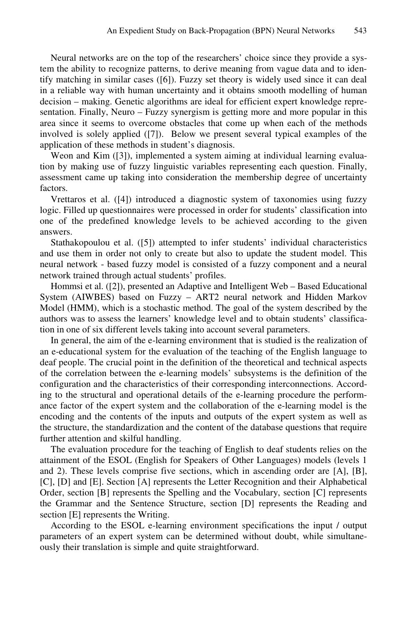Neural networks are on the top of the researchers' choice since they provide a system the ability to recognize patterns, to derive meaning from vague data and to identify matching in similar cases  $([6])$ . Fuzzy set theory is widely used since it can deal in a reliable way with human uncertainty and it obtains smooth modelling of human decision – making. Genetic algorithms are ideal for efficient expert knowledge representation. Finally, Neuro – Fuzzy synergism is getting more and more popular in this area since it seems to overcome obstacles that come up when each of the methods involved is solely applied ([7]). Below we present several typical examples of the application of these methods in student's diagnosis.

Weon and Kim ([3]), implemented a system aiming at individual learning evaluation by making use of fuzzy linguistic variables representing each question. Finally, assessment came up taking into consideration the membership degree of uncertainty factors.

Vrettaros et al. ([4]) introduced a diagnostic system of taxonomies using fuzzy logic. Filled up questionnaires were processed in order for students' classification into one of the predefined knowledge levels to be achieved according to the given answers.

Stathakopoulou et al. ([5]) attempted to infer students' individual characteristics and use them in order not only to create but also to update the student model. This neural network - based fuzzy model is consisted of a fuzzy component and a neural network trained through actual students' profiles.

Hommsi et al. ([2]), presented an Adaptive and Intelligent Web – Based Educational System (AIWBES) based on Fuzzy – ART2 neural network and Hidden Markov Model (HMM), which is a stochastic method. The goal of the system described by the authors was to assess the learners' knowledge level and to obtain students' classification in one of six different levels taking into account several parameters.

In general, the aim of the e-learning environment that is studied is the realization of an e-educational system for the evaluation of the teaching of the English language to deaf people. The crucial point in the definition of the theoretical and technical aspects of the correlation between the e-learning models' subsystems is the definition of the configuration and the characteristics of their corresponding interconnections. According to the structural and operational details of the e-learning procedure the performance factor of the expert system and the collaboration of the e-learning model is the encoding and the contents of the inputs and outputs of the expert system as well as the structure, the standardization and the content of the database questions that require further attention and skilful handling.

The evaluation procedure for the teaching of English to deaf students relies on the attainment of the ESOL (English for Speakers of Other Languages) models (levels 1 and 2). These levels comprise five sections, which in ascending order are [A], [B], [C], [D] and [E]. Section [A] represents the Letter Recognition and their Alphabetical Order, section [B] represents the Spelling and the Vocabulary, section [C] represents the Grammar and the Sentence Structure, section [D] represents the Reading and section [E] represents the Writing.

According to the ESOL e-learning environment specifications the input / output parameters of an expert system can be determined without doubt, while simultaneously their translation is simple and quite straightforward.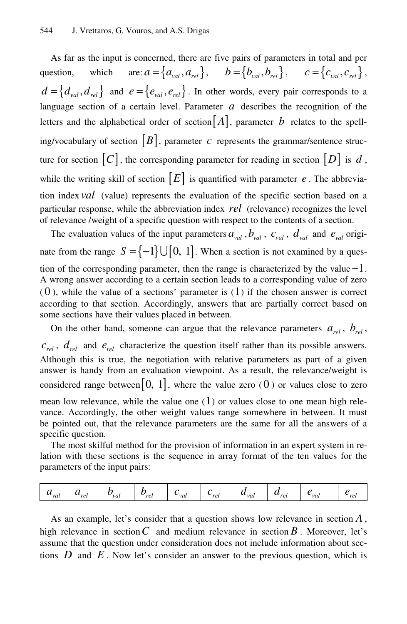As far as the input is concerned, there are five pairs of parameters in total and per question, which are:  $a = \left\{ a_{val}, a_{rel} \right\}, \quad b = \left\{ b_{val}, b_{rel} \right\}, \quad c = \left\{ c_{val}, c_{rel} \right\},$  $d = \{ d_{val}, d_{rel} \}$  and  $e = \{ e_{val}, e_{rel} \}$ . In other words, every pair corresponds to a language section of a certain level. Parameter *a* describes the recognition of the letters and the alphabetical order of section  $[A]$ , parameter *b* relates to the spelling/vocabulary of section  $[B]$ , parameter *c* represents the grammar/sentence structure for section  $[C]$ , the corresponding parameter for reading in section  $[D]$  is  $d$ , while the writing skill of section  $\begin{bmatrix} E \end{bmatrix}$  is quantified with parameter  $e$ . The abbreviation index *val* (value) represents the evaluation of the specific section based on a particular response, while the abbreviation index *rel* (relevance) recognizes the level of relevance /weight of a specific question with respect to the contents of a section.

The evaluation values of the input parameters  $a_{val}$ ,  $b_{val}$ ,  $c_{val}$ ,  $d_{val}$  and  $e_{val}$  originate from the range  $S = \{-1\} \cup [0, 1]$ . When a section is not examined by a question of the corresponding parameter, then the range is characterized by the value  $-1$ . A wrong answer according to a certain section leads to a corresponding value of zero  $(0)$ , while the value of a sections' parameter is  $(1)$  if the chosen answer is correct according to that section. Accordingly, answers that are partially correct based on some sections have their values placed in between.

On the other hand, someone can argue that the relevance parameters  $a_{rel}$ ,  $b_{rel}$ ,  $c_{rel}$ ,  $d_{rel}$  and  $e_{rel}$  characterize the question itself rather than its possible answers. Although this is true, the negotiation with relative parameters as part of a given answer is handy from an evaluation viewpoint. As a result, the relevance/weight is considered range between  $[0, 1]$ , where the value zero  $(0)$  or values close to zero mean low relevance, while the value one  $(1)$  or values close to one mean high relevance. Accordingly, the other weight values range somewhere in between. It must be pointed out, that the relevance parameters are the same for all the answers of a specific question.

The most skilful method for the provision of information in an expert system in relation with these sections is the sequence in array format of the ten values for the parameters of the input pairs:

| u<br>$\mathbf{u}_{rel}$<br>$u_{val}$<br>$\tilde{\phantom{a}}$<br>. .<br>ັ<br>ັ<br>rei<br>rel<br>vai<br>val<br>vai<br>ret<br>vai<br>$\mathbf{c}$<br>. |  |  |  |  |  |  |  |  |  |  |  |
|------------------------------------------------------------------------------------------------------------------------------------------------------|--|--|--|--|--|--|--|--|--|--|--|
|------------------------------------------------------------------------------------------------------------------------------------------------------|--|--|--|--|--|--|--|--|--|--|--|

As an example, let's consider that a question shows low relevance in section *A* , high relevance in section  $C$  and medium relevance in section  $B$ . Moreover, let's assume that the question under consideration does not include information about sections  $D$  and  $E$ . Now let's consider an answer to the previous question, which is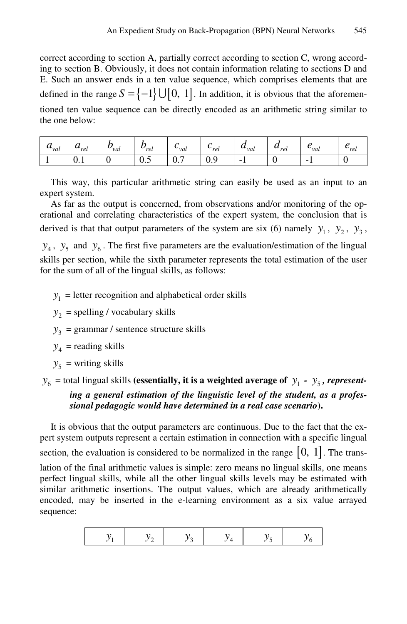correct according to section A, partially correct according to section C, wrong according to section B. Obviously, it does not contain information relating to sections D and E. Such an answer ends in a ten value sequence, which comprises elements that are defined in the range  $S = \{-1\} \cup [0, 1]$ . In addition, it is obvious that the aforementioned ten value sequence can be directly encoded as an arithmetic string similar to the one below:

| $\sim$<br>$u_{val}$ | -<br>w<br>rel | ◡<br>val | ັ<br>rel  | ັ<br>val                                         | $\sqrt{2}$<br>ັ<br>rel | u<br>val                 | $u_{rel}$ | ື<br>val•                | ັ<br>rel |
|---------------------|---------------|----------|-----------|--------------------------------------------------|------------------------|--------------------------|-----------|--------------------------|----------|
|                     | v.i           |          | -<br>v. J | $\overline{\phantom{0}}$<br>$\mathbf{U} \cdot I$ | ◡.                     | $\overline{\phantom{a}}$ |           | $\overline{\phantom{a}}$ |          |

This way, this particular arithmetic string can easily be used as an input to an expert system.

As far as the output is concerned, from observations and/or monitoring of the operational and correlating characteristics of the expert system, the conclusion that is derived is that that output parameters of the system are six (6) namely  $y_1$ ,  $y_2$ ,  $y_3$ ,  $y_4$ ,  $y_5$  and  $y_6$ . The first five parameters are the evaluation/estimation of the lingual skills per section, while the sixth parameter represents the total estimation of the user for the sum of all of the lingual skills, as follows:

- $y_1$  = letter recognition and alphabetical order skills
- $y_2$  = spelling / vocabulary skills
- $y_3$  = grammar / sentence structure skills
- $y_4$  = reading skills
- $y_5$  = writing skills

 $y_6$  = total lingual skills **(essentially, it is a weighted average of**  $y_1$  -  $y_5$ *, represent*-

*ing a general estimation of the linguistic level of the student, as a professional pedagogic would have determined in a real case scenario***).**

It is obvious that the output parameters are continuous. Due to the fact that the expert system outputs represent a certain estimation in connection with a specific lingual section, the evaluation is considered to be normalized in the range  $[0, 1]$ . The translation of the final arithmetic values is simple: zero means no lingual skills, one means perfect lingual skills, while all the other lingual skills levels may be estimated with similar arithmetic insertions. The output values, which are already arithmetically encoded, may be inserted in the e-learning environment as a six value arrayed sequence:

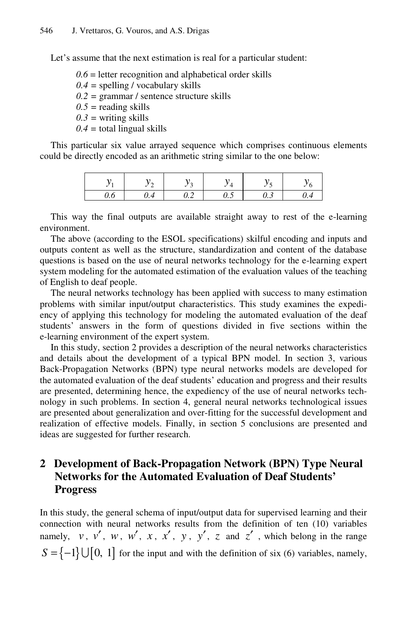Let's assume that the next estimation is real for a particular student:

*0.6* = letter recognition and alphabetical order skills *0.4 =* spelling / vocabulary skills *0.2 =* grammar / sentence structure skills  $0.5$  = reading skills  $0.3$  = writing skills *0.4 =* total lingual skills

This particular six value arrayed sequence which comprises continuous elements could be directly encoded as an arithmetic string similar to the one below:

|     |               |     |                       | س   |  |
|-----|---------------|-----|-----------------------|-----|--|
| v.o | ╱<br>$\cdots$ | ∪.∠ | $\overline{a}$<br>∪.∪ | U.J |  |

This way the final outputs are available straight away to rest of the e-learning environment.

The above (according to the ESOL specifications) skilful encoding and inputs and outputs content as well as the structure, standardization and content of the database questions is based on the use of neural networks technology for the e-learning expert system modeling for the automated estimation of the evaluation values of the teaching of English to deaf people.

The neural networks technology has been applied with success to many estimation problems with similar input/output characteristics. This study examines the expediency of applying this technology for modeling the automated evaluation of the deaf students' answers in the form of questions divided in five sections within the e-learning environment of the expert system.

In this study, section 2 provides a description of the neural networks characteristics and details about the development of a typical BPN model. In section 3, various Back-Propagation Networks (BPN) type neural networks models are developed for the automated evaluation of the deaf students' education and progress and their results are presented, determining hence, the expediency of the use of neural networks technology in such problems. In section 4, general neural networks technological issues are presented about generalization and over-fitting for the successful development and realization of effective models. Finally, in section 5 conclusions are presented and ideas are suggested for further research.

# **2 Development of Back-Propagation Network (BPN) Type Neural Networks for the Automated Evaluation of Deaf Students' Progress**

In this study, the general schema of input/output data for supervised learning and their connection with neural networks results from the definition of ten (10) variables namely, *v*, *v'*, *w*, *w'*, *x*, *x'*, *y*, *y'*, *z* and *z'*, which belong in the range  $S = \{-1\} \cup [0, 1]$  for the input and with the definition of six (6) variables, namely,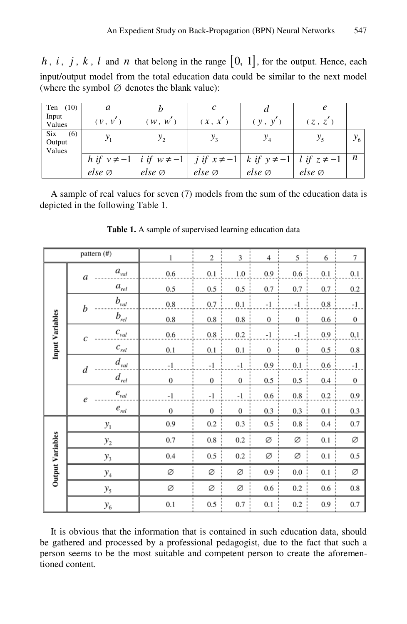$h, i, j, k, l$  and  $n$  that belong in the range  $[0, 1]$ , for the output. Hence, each input/output model from the total education data could be similar to the next model (where the symbol ∅ denotes the blank value):

| Ten $(10)$                     | a                  |                                                                                        |                    |                    |                     |         |
|--------------------------------|--------------------|----------------------------------------------------------------------------------------|--------------------|--------------------|---------------------|---------|
| Input<br>Values                | $(\nu, \nu)$       | (W, W)                                                                                 | (x, x)             | (y, y)             | $(z, \overline{z})$ |         |
| Six<br>(6)<br>Output<br>Values |                    | $y_{2}$                                                                                |                    | $y_{4}$            | $y_{5}$             | $y_{6}$ |
|                                |                    | h if $v \neq -1$ i if $w \neq -1$ i j if $x \neq -1$ k if $y \neq -1$ i if $z \neq -1$ |                    |                    |                     | n       |
|                                | $else \varnothing$ | $else \varnothing$                                                                     | $else \varnothing$ | $else \varnothing$ | $else \varnothing$  |         |

A sample of real values for seven (7) models from the sum of the education data is depicted in the following Table 1.

|                         | pattern (#)                        | 1            | $\mathbf{2}$     | 3            | 4                | 5                | 6         | 7                |
|-------------------------|------------------------------------|--------------|------------------|--------------|------------------|------------------|-----------|------------------|
| Input Variables         | $a_{\rm val}$<br>a                 | $0.6\,$      | 0.1              | 1.0          | 0.9              | 0.6              | 0.1       | 0.1              |
|                         | $a_{rel}$                          | 0.5          | 0.5              | 0.5          | 0.7              | 0.7              | 0.7       | 0.2              |
|                         | $b_{\rm val}$<br>b                 | $0.8\,$      | $0.7\,$          | 0.1          | $-1$             | $-1$             | $\rm 0.8$ | $-1$             |
|                         | $b_{rel}$                          | $0.8\,$      | $0.8\,$          | 0.8          | $\boldsymbol{0}$ | $\boldsymbol{0}$ | 0.6       | $\boldsymbol{0}$ |
|                         | $C_{val}$<br>$\mathcal{C}_{0}^{2}$ | $0.6\,$      | 0.8              | 0.2          | $-1$             | $-1$             | 0.9       | 0,1              |
|                         | $\boldsymbol{c}_{\textit{rel}}$    | 0.1          | 0.1              | 0.1          | $\mathbf{0}$     | $\mathbf{0}$     | 0.5       | $0.8\,$          |
|                         | $d_{\rm val}$<br>d                 | $^{\rm -1}$  | -1               | $-1$         | 0.9              | 0.1              | 0.6       | -1               |
|                         | $d_{\it rel}$                      | $\mathbf{0}$ | $\boldsymbol{0}$ | $\mathbf{0}$ | 0.5              | 0.5              | 0.4       | $\bf{0}$         |
|                         | $e_{\rm val}$<br>$\epsilon$        | $-1$         | $-1$             | $-1$         | $0.6\,$          | $\rm 0.8$        | $0.2\,$   | $0.9\,$          |
|                         | $\boldsymbol{e}_{\textit{rel}}$    | $\bf{0}$     | $\boldsymbol{0}$ | $\mathbf{0}$ | 0.3              | 0.3              | 0.1       | 0.3              |
|                         | $y_{1}$                            | 0.9          | 0.2              | 0.3          | 0.5              | 0.8              | 0.4       | 0.7              |
|                         | ${\mathcal{Y}}_2$                  | 0.7          | $0.8\,$          | 0.2          | Ø                | Ø                | 0.1       | Ø                |
|                         | $y_3$                              | 0.4          | 0.5              | 0.2          | Ø                | Ø                | 0.1       | 0.5              |
| <b>Output Variables</b> | $\mathcal{Y}_4$                    | Ø            | Ø                | Ø            | 0.9              | 0.0              | 0.1       | Ø                |
|                         | y <sub>5</sub>                     | Ø            | Ø                | Ø            | 0.6              | 0.2              | 0.6       | 0.8              |
|                         | $y_{6}$                            | $0.1\,$      | 0.5              | 0.7          | 0.1              | 0.2              | 0.9       | 0.7              |

**Table 1.** A sample of supervised learning education data

It is obvious that the information that is contained in such education data, should be gathered and processed by a professional pedagogist, due to the fact that such a person seems to be the most suitable and competent person to create the aforementioned content.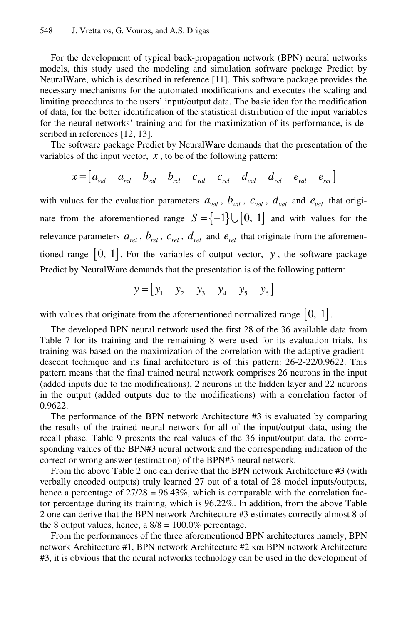For the development of typical back-propagation network (BPN) neural networks models, this study used the modeling and simulation software package Predict by NeuralWare, which is described in reference [11]. This software package provides the necessary mechanisms for the automated modifications and executes the scaling and limiting procedures to the users' input/output data. The basic idea for the modification of data, for the better identification of the statistical distribution of the input variables for the neural networks' training and for the maximization of its performance, is described in references [12, 13].

The software package Predict by NeuralWare demands that the presentation of the variables of the input vector,  $\dot{x}$ , to be of the following pattern:

$$
x = \begin{bmatrix} a_{\text{val}} & a_{\text{rel}} & b_{\text{val}} & b_{\text{rel}} & c_{\text{val}} & c_{\text{rel}} & d_{\text{val}} & d_{\text{rel}} & e_{\text{val}} & e_{\text{rel}} \end{bmatrix}
$$

with values for the evaluation parameters  $a_{val}$ ,  $b_{val}$ ,  $c_{val}$ ,  $d_{val}$  and  $e_{val}$  that originate from the aforementioned range  $S = \{-1\} \cup [0, 1]$  and with values for the relevance parameters  $a_{rel}$ ,  $b_{rel}$ ,  $c_{rel}$ ,  $d_{rel}$  and  $e_{rel}$  that originate from the aforementioned range  $[0, 1]$ . For the variables of output vector,  $y$ , the software package Predict by NeuralWare demands that the presentation is of the following pattern:

$$
y = [y_1 \quad y_2 \quad y_3 \quad y_4 \quad y_5 \quad y_6]
$$

with values that originate from the aforementioned normalized range  $[0, 1]$ .

The developed BPN neural network used the first 28 of the 36 available data from Table 7 for its training and the remaining 8 were used for its evaluation trials. Its training was based on the maximization of the correlation with the adaptive gradientdescent technique and its final architecture is of this pattern: 26-2-22/0.9622. This pattern means that the final trained neural network comprises 26 neurons in the input (added inputs due to the modifications), 2 neurons in the hidden layer and 22 neurons in the output (added outputs due to the modifications) with a correlation factor of 0.9622.

The performance of the BPN network Architecture #3 is evaluated by comparing the results of the trained neural network for all of the input/output data, using the recall phase. Table 9 presents the real values of the 36 input/output data, the corresponding values of the BPN#3 neural network and the corresponding indication of the correct or wrong answer (estimation) of the BPN#3 neural network.

From the above Table 2 one can derive that the BPN network Architecture #3 (with verbally encoded outputs) truly learned 27 out of a total of 28 model inputs/outputs, hence a percentage of  $27/28 = 96.43\%$ , which is comparable with the correlation factor percentage during its training, which is 96.22%. In addition, from the above Table 2 one can derive that the BPN network Architecture #3 estimates correctly almost 8 of the 8 output values, hence, a  $8/8 = 100.0\%$  percentage.

From the performances of the three aforementioned BPN architectures namely, BPN network Architecture #1, BPN network Architecture #2 και BPN network Architecture #3, it is obvious that the neural networks technology can be used in the development of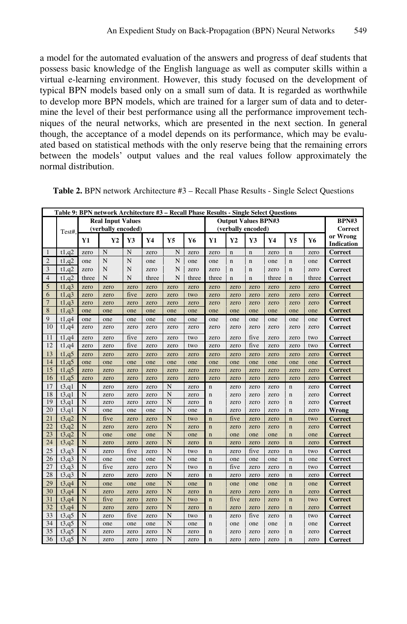a model for the automated evaluation of the answers and progress of deaf students that possess basic knowledge of the English language as well as computer skills within a virtual e-learning environment. However, this study focused on the development of typical BPN models based only on a small sum of data. It is regarded as worthwhile to develop more BPN models, which are trained for a larger sum of data and to determine the level of their best performance using all the performance improvement techniques of the neural networks, which are presented in the next section. In general though, the acceptance of a model depends on its performance, which may be evaluated based on statistical methods with the only reserve being that the remaining errors between the models' output values and the real values follow approximately the normal distribution.

| Table 9: BPN network Architecture #3 - Recall Phase Results - Single Select Questions |        |                |                                                |             |       |             |       |                         |             |                                                  |       |             |       |                         |
|---------------------------------------------------------------------------------------|--------|----------------|------------------------------------------------|-------------|-------|-------------|-------|-------------------------|-------------|--------------------------------------------------|-------|-------------|-------|-------------------------|
|                                                                                       |        |                | <b>Real Input Values</b><br>(verbally encoded) |             |       |             |       |                         |             | <b>Output Values BPN#3</b><br>(verbally encoded) |       |             |       | <b>BPN#3</b><br>Correct |
|                                                                                       | Test#. | Y1             | Y2                                             | Y3          | Y4    | Y5          | Y6    | Y1                      | Y2          | Y3                                               | Y4    | Y5          | Y6    | or Wrong<br>Indication  |
| $\mathbf{1}$                                                                          | t1,q2  | zero           | N                                              | $\mathbf N$ | zero  | N           | zero  | zero                    | $\mathbf n$ | $\mathbf n$                                      | zero  | $\mathbf n$ | zero  | Correct                 |
| $\overline{2}$                                                                        | t1,q2  | one            | N                                              | N           | one   | $\mathbf N$ | one   | one                     | $\mathbf n$ | $\mathbf n$                                      | one   | $\mathbf n$ | one   | Correct                 |
| 3                                                                                     | t1,q2  | zero           | N                                              | N           | zero  | $\mathbf N$ | zero  | zero                    | $\mathbf n$ | $\mathbf n$                                      | zero  | $\bf n$     | zero  | Correct                 |
| $\overline{4}$                                                                        | t1,q2  | three          | N                                              | N           | three | $\mathbf N$ | three | three                   | $\mathbf n$ | $\mathbf n$                                      | three | $\mathbf n$ | three | Correct                 |
| 5                                                                                     | t1,q3  | zero           | zero                                           | zero        | zero  | zero        | zero  | zero                    | zero        | zero                                             | zero  | zero        | zero  | <b>Correct</b>          |
| 6                                                                                     | t1,q3  | zero           | zero                                           | five        | zero  | zero        | two   | zero                    | zero        | zero                                             | zero  | zero        | zero  | <b>Correct</b>          |
| $\overline{7}$                                                                        | t1,q3  | zero           | zero                                           | zero        | zero  | zero        | zero  | zero                    | zero        | zero                                             | zero  | zero        | zero  | <b>Correct</b>          |
| 8                                                                                     | t1,q3  | one            | one                                            | one         | one   | one         | one   | one                     | one         | one                                              | one   | one         | one   | <b>Correct</b>          |
| 9                                                                                     | t1,q4  | one            | one                                            | one         | one   | one         | one   | one                     | one         | one                                              | one   | one         | one   | Correct                 |
| 10                                                                                    | t1,q4  | zero           | zero                                           | zero        | zero  | zero        | zero  | zero                    | zero        | zero                                             | zero  | zero        | zero  | Correct                 |
| 11                                                                                    | t1,q4  | zero           | zero                                           | five        | zero  | zero        | two   | zero                    | zero        | five                                             | zero  | zero        | two   | Correct                 |
| 12                                                                                    | t1,q4  | zero           | zero                                           | five        | zero  | zero        | two   | zero                    | zero        | five                                             | zero  | zero        | two   | Correct                 |
| 13                                                                                    | t1,q5  | zero           | zero                                           | zero        | zero  | zero        | zero  | zero                    | zero        | zero                                             | zero  | zero        | zero  | <b>Correct</b>          |
| 14                                                                                    | t1,q5  | one            | one                                            | one         | one   | one         | one   | one                     | one         | one                                              | one   | one         | one   | <b>Correct</b>          |
| 15                                                                                    | t1,q5  | zero           | zero                                           | zero        | zero  | zero        | zero  | zero                    | zero        | zero                                             | zero  | zero        | zero  | <b>Correct</b>          |
| 16                                                                                    | t1,q5  | zero           | zero                                           | zero        | zero  | zero        | zero  | zero                    | zero        | zero                                             | zero  | zero        | zero  | <b>Correct</b>          |
| 17                                                                                    | t3,q1  | N              | zero                                           | zero        | zero  | $\mathbf N$ | zero  | $\mathbf n$             | zero        | zero                                             | zero  | $\mathbf n$ | zero  | Correct                 |
| 18                                                                                    | t3,q1  | $\mathbf N$    | zero                                           | zero        | zero  | $\mathbf N$ | zero  | $\mathbf n$             | zero        | zero                                             | zero  | $\mathbf n$ | zero  | Correct                 |
| 19                                                                                    | t3,q1  | N              | zero                                           | zero        | zero  | $\mathbf N$ | zero  | $\mathbf n$             | zero        | zero                                             | zero  | $\mathbf n$ | zero  | Correct                 |
| 20                                                                                    | t3,q1  | $\mathbf N$    | one                                            | one         | one   | N           | one   | $\mathbf n$             | zero        | zero                                             | zero  | $\mathbf n$ | zero  | Wrong                   |
| 21                                                                                    | t3,q2  | $\overline{N}$ | five                                           | zero        | zero  | ${\bf N}$   | two   | $\mathbf n$             | five        | zero                                             | zero  | $\mathbf n$ | two   | <b>Correct</b>          |
| 22                                                                                    | t3,q2  | $\overline{N}$ | zero                                           | zero        | zero  | $\mathbf N$ | zero  | $\mathbf n$             | zero        | zero                                             | zero  | $\mathbf n$ | zero  | <b>Correct</b>          |
| 23                                                                                    | t3,q2  | ${\bf N}$      | one                                            | one         | one   | $\mathbf N$ | one   | $\overline{\mathbf{n}}$ | one         | one                                              | one   | $\mathbf n$ | one   | <b>Correct</b>          |
| 24                                                                                    | t3,q2  | $\mathbf N$    | zero                                           | zero        | zero  | $\mathbf N$ | zero  | $\mathbf n$             | zero        | zero                                             | zero  | $\mathbf n$ | zero  | <b>Correct</b>          |
| 25                                                                                    | t3,q3  | $\mathbf N$    | zero                                           | five        | zero  | $\mathbf N$ | two   | $\mathbf n$             | zero        | five                                             | zero  | $\bf n$     | two   | Correct                 |
| 26                                                                                    | t3,q3  | ${\bf N}$      | one                                            | one         | one   | ${\bf N}$   | one   | $\mathbf n$             | one         | one                                              | one   | $\mathbf n$ | one   | Correct                 |
| 27                                                                                    | t3,q3  | $\mathbf N$    | five                                           | zero        | zero  | $\mathbf N$ | two   | $\mathbf n$             | five        | zero                                             | zero  | $\mathbf n$ | two   | Correct                 |
| 28                                                                                    | t3,q3  | $\mathbf N$    | zero                                           | zero        | zero  | ${\bf N}$   | zero  | $\mathbf n$             | zero        | zero                                             | zero  | $\mathbf n$ | zero  | Correct                 |
| 29                                                                                    | t3,q4  | $\overline{N}$ | one                                            | one         | one   | $\mathbf N$ | one   | $\mathbf{n}$            | one         | one                                              | one   | $\mathbf n$ | one   | <b>Correct</b>          |
| 30                                                                                    | t3,q4  | N              | zero                                           | zero        | zero  | N           | zero  | $\mathbf n$             | zero        | zero                                             | zero  | $\mathbf n$ | zero  | <b>Correct</b>          |
| 31                                                                                    | t3,q4  | $\overline{N}$ | five                                           | zero        | zero  | ${\bf N}$   | two   | $\mathbf n$             | five        | zero                                             | zero  | $\mathbf n$ | two   | <b>Correct</b>          |
| 32                                                                                    | t3,q4  | ${\bf N}$      | zero                                           | zero        | zero  | ${\bf N}$   | zero  | $\mathbf n$             | zero        | zero                                             | zero  | $\mathbf n$ | zero  | <b>Correct</b>          |
| 33                                                                                    | t3,q5  | ${\bf N}$      | zero                                           | five        | zero  | $\mathbf N$ | two   | $\mathbf n$             | zero        | five                                             | zero  | $\mathbf n$ | two   | Correct                 |
| 34                                                                                    | t3,q5  | $\mathbf N$    | one                                            | one         | one   | N           | one   | $\mathbf n$             | one         | one                                              | one   | $\mathbf n$ | one   | Correct                 |
| 35                                                                                    | t3, q5 | $\mathbf N$    | zero                                           | zero        | zero  | N           | zero  | $\mathbf n$             | zero        | zero                                             | zero  | $\mathbf n$ | zero  | Correct                 |
| 36                                                                                    | t3,q5  | $\mathbf N$    | zero                                           | zero        | zero  | ${\bf N}$   | zero  | $\mathbf n$             | zero        | zero                                             | zero  | $\mathbf n$ | zero  | Correct                 |

**Table 2.** BPN network Architecture #3 – Recall Phase Results - Single Select Questions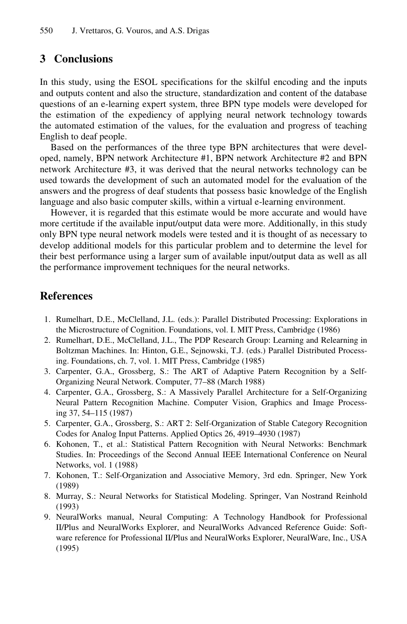## **3 Conclusions**

In this study, using the ESOL specifications for the skilful encoding and the inputs and outputs content and also the structure, standardization and content of the database questions of an e-learning expert system, three BPN type models were developed for the estimation of the expediency of applying neural network technology towards the automated estimation of the values, for the evaluation and progress of teaching English to deaf people.

Based on the performances of the three type BPN architectures that were developed, namely, BPN network Architecture #1, BPN network Architecture #2 and BPN network Architecture #3, it was derived that the neural networks technology can be used towards the development of such an automated model for the evaluation of the answers and the progress of deaf students that possess basic knowledge of the English language and also basic computer skills, within a virtual e-learning environment.

However, it is regarded that this estimate would be more accurate and would have more certitude if the available input/output data were more. Additionally, in this study only BPN type neural network models were tested and it is thought of as necessary to develop additional models for this particular problem and to determine the level for their best performance using a larger sum of available input/output data as well as all the performance improvement techniques for the neural networks.

#### **References**

- 1. Rumelhart, D.E., McClelland, J.L. (eds.): Parallel Distributed Processing: Explorations in the Microstructure of Cognition. Foundations, vol. I. MIT Press, Cambridge (1986)
- 2. Rumelhart, D.E., McClelland, J.L., The PDP Research Group: Learning and Relearning in Boltzman Machines. In: Hinton, G.E., Sejnowski, T.J. (eds.) Parallel Distributed Processing. Foundations, ch. 7, vol. 1. MIT Press, Cambridge (1985)
- 3. Carpenter, G.A., Grossberg, S.: The ART of Adaptive Patern Recognition by a Self-Organizing Neural Network. Computer, 77–88 (March 1988)
- 4. Carpenter, G.A., Grossberg, S.: A Massively Parallel Architecture for a Self-Organizing Neural Pattern Recognition Machine. Computer Vision, Graphics and Image Processing 37, 54–115 (1987)
- 5. Carpenter, G.A., Grossberg, S.: ART 2: Self-Organization of Stable Category Recognition Codes for Analog Input Patterns. Applied Optics 26, 4919–4930 (1987)
- 6. Kohonen, T., et al.: Statistical Pattern Recognition with Neural Networks: Benchmark Studies. In: Proceedings of the Second Annual IEEE International Conference on Neural Networks, vol. 1 (1988)
- 7. Kohonen, T.: Self-Organization and Associative Memory, 3rd edn. Springer, New York (1989)
- 8. Murray, S.: Neural Networks for Statistical Modeling. Springer, Van Nostrand Reinhold (1993)
- 9. NeuralWorks manual, Neural Computing: A Technology Handbook for Professional II/Plus and NeuralWorks Explorer, and NeuralWorks Advanced Reference Guide: Software reference for Professional II/Plus and NeuralWorks Explorer, NeuralWare, Inc., USA (1995)